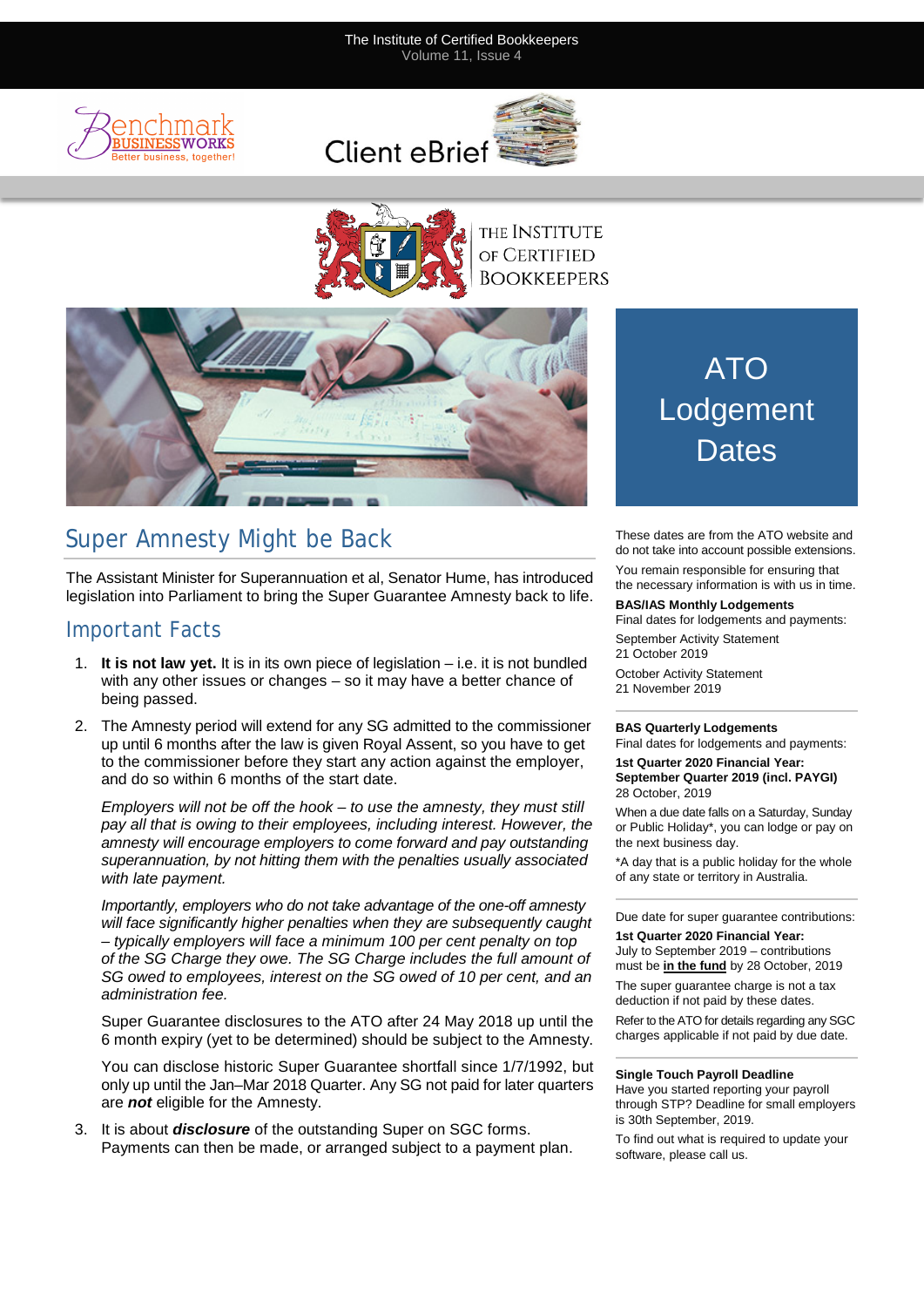#### The Institute of Certified Bookkeepers Volume 11, Issue 4









# Super Amnesty Might be Back

The Assistant Minister for Superannuation et al, Senator Hume, has introduced legislation into Parliament to bring the Super Guarantee Amnesty back to life.

#### Important Facts

- 1. **It is not law yet.** It is in its own piece of legislation i.e. it is not bundled with any other issues or changes – so it may have a better chance of being passed.
- 2. The Amnesty period will extend for any SG admitted to the commissioner up until 6 months after the law is given Royal Assent, so you have to get to the commissioner before they start any action against the employer, and do so within 6 months of the start date.

*Employers will not be off the hook – to use the amnesty, they must still pay all that is owing to their employees, including interest. However, the amnesty will encourage employers to come forward and pay outstanding superannuation, by not hitting them with the penalties usually associated with late payment.*

*Importantly, employers who do not take advantage of the one-off amnesty will face significantly higher penalties when they are subsequently caught – typically employers will face a minimum 100 per cent penalty on top of the SG Charge they owe. The SG Charge includes the full amount of SG owed to employees, interest on the SG owed of 10 per cent, and an administration fee.*

Super Guarantee disclosures to the ATO after 24 May 2018 up until the 6 month expiry (yet to be determined) should be subject to the Amnesty.

You can disclose historic Super Guarantee shortfall since 1/7/1992, but only up until the Jan–Mar 2018 Quarter. Any SG not paid for later quarters are *not* eligible for the Amnesty.

3. It is about *disclosure* of the outstanding Super on SGC forms. Payments can then be made, or arranged subject to a payment plan.

# ATO Lodgement **Dates**

These dates are from the ATO website and do not take into account possible extensions.

You remain responsible for ensuring that the necessary information is with us in time.

#### **BAS/IAS Monthly Lodgements**

Final dates for lodgements and payments: September Activity Statement 21 October 2019

October Activity Statement 21 November 2019

#### **BAS Quarterly Lodgements**

Final dates for lodgements and payments:

**1st Quarter 2020 Financial Year: September Quarter 2019 (incl. PAYGI)** 28 October, 2019

When a due date falls on a Saturday, Sunday or Public Holiday\*, you can lodge or pay on the next business day.

\*A day that is a public holiday for the whole of any state or territory in Australia.

Due date for super guarantee contributions:

**1st Quarter 2020 Financial Year:** July to September 2019 – contributions

must be **in the fund** by 28 October, 2019 The super guarantee charge is not a tax deduction if not paid by these dates.

Refer to the ATO for details regarding any SGC charges applicable if not paid by due date.

#### **Single Touch Payroll Deadline**

Have you started reporting your payroll through STP? Deadline for small employers is 30th September, 2019.

To find out what is required to update your software, please call us.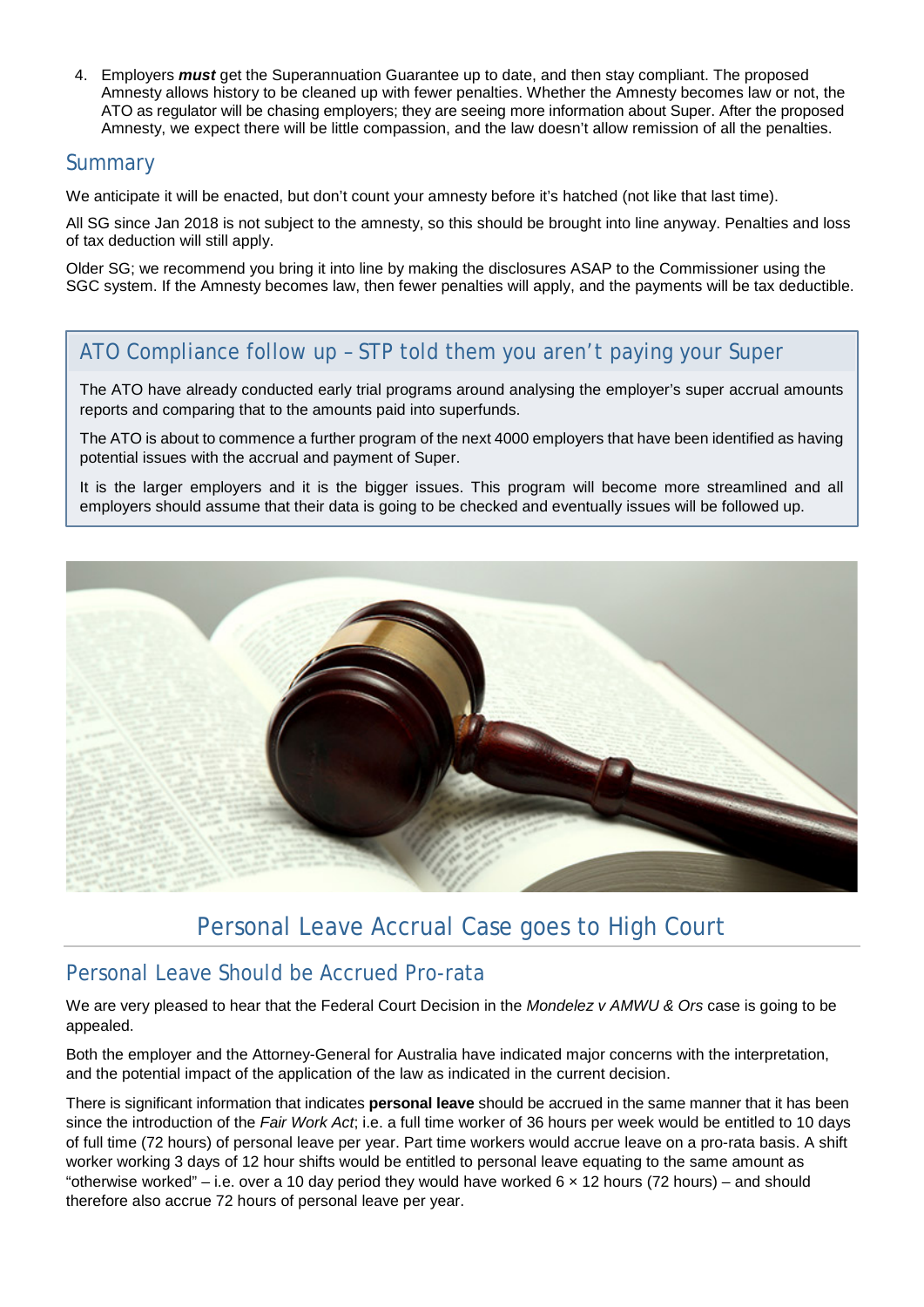4. Employers *must* get the Superannuation Guarantee up to date, and then stay compliant. The proposed Amnesty allows history to be cleaned up with fewer penalties. Whether the Amnesty becomes law or not, the ATO as regulator will be chasing employers; they are seeing more information about Super. After the proposed Amnesty, we expect there will be little compassion, and the law doesn't allow remission of all the penalties.

#### Summary

We anticipate it will be enacted, but don't count your amnesty before it's hatched (not like that last time).

All SG since Jan 2018 is not subject to the amnesty, so this should be brought into line anyway. Penalties and loss of tax deduction will still apply.

Older SG; we recommend you bring it into line by making the disclosures ASAP to the Commissioner using the SGC system. If the Amnesty becomes law, then fewer penalties will apply, and the payments will be tax deductible.

## ATO Compliance follow up – STP told them you aren't paying your Super

The ATO have already conducted early trial programs around analysing the employer's super accrual amounts reports and comparing that to the amounts paid into superfunds.

The ATO is about to commence a further program of the next 4000 employers that have been identified as having potential issues with the accrual and payment of Super.

It is the larger employers and it is the bigger issues. This program will become more streamlined and all employers should assume that their data is going to be checked and eventually issues will be followed up.



## Personal Leave Accrual Case goes to High Court

## Personal Leave Should be Accrued Pro-rata

We are very pleased to hear that the Federal Court Decision in the *Mondelez v AMWU & Ors* case is going to be appealed.

Both the employer and the Attorney-General for Australia have indicated major concerns with the interpretation, and the potential impact of the application of the law as indicated in the current decision.

There is significant information that indicates **personal leave** should be accrued in the same manner that it has been since the introduction of the *Fair Work Act*; i.e. a full time worker of 36 hours per week would be entitled to 10 days of full time (72 hours) of personal leave per year. Part time workers would accrue leave on a pro-rata basis. A shift worker working 3 days of 12 hour shifts would be entitled to personal leave equating to the same amount as "otherwise worked" – i.e. over a 10 day period they would have worked  $6 \times 12$  hours (72 hours) – and should therefore also accrue 72 hours of personal leave per year.